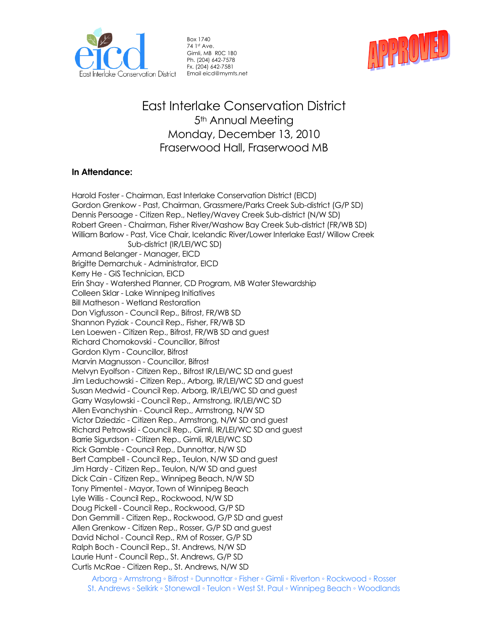

Box 1740 74 1st Ave. Gimli, MB R0C 1B0 Ph. (204) 642-7578 Fx. (204) 642-7581 Email eicd@mymts.net



# East Interlake Conservation District 5<sup>th</sup> Annual Meeting Monday, December 13, 2010 Fraserwood Hall, Fraserwood MB

# **In Attendance:**

Harold Foster - Chairman, East Interlake Conservation District (EICD) Gordon Grenkow - Past, Chairman, Grassmere/Parks Creek Sub-district (G/P SD) Dennis Persoage - Citizen Rep., Netley/Wavey Creek Sub-district (N/W SD) Robert Green - Chairman, Fisher River/Washow Bay Creek Sub-district (FR/WB SD) William Barlow - Past, Vice Chair, Icelandic River/Lower Interlake East/ Willow Creek Sub-district (IR/LEI/WC SD) Armand Belanger - Manager, EICD Brigitte Demarchuk - Administrator, EICD Kerry He - GIS Technician, EICD Erin Shay - Watershed Planner, CD Program, MB Water Stewardship Colleen Sklar - Lake Winnipeg Initiatives Bill Matheson - Wetland Restoration Don Vigfusson - Council Rep., Bifrost, FR/WB SD Shannon Pyziak - Council Rep., Fisher, FR/WB SD Len Loewen - Citizen Rep., Bifrost, FR/WB SD and guest Richard Chomokovski - Councillor, Bifrost Gordon Klym - Councillor, Bifrost Marvin Magnusson - Councillor, Bifrost Melvyn Eyolfson - Citizen Rep., Bifrost IR/LEI/WC SD and guest Jim Leduchowski - Citizen Rep., Arborg, IR/LEI/WC SD and guest Susan Medwid - Council Rep. Arborg, IR/LEI/WC SD and guest Garry Wasylowski - Council Rep., Armstrong, IR/LEI/WC SD Allen Evanchyshin - Council Rep., Armstrong, N/W SD Victor Dziedzic - Citizen Rep., Armstrong, N/W SD and guest Richard Petrowski - Council Rep., Gimli, IR/LEI/WC SD and guest Barrie Sigurdson - Citizen Rep., Gimli, IR/LEI/WC SD Rick Gamble - Council Rep., Dunnottar, N/W SD Bert Campbell - Council Rep., Teulon, N/W SD and guest Jim Hardy - Citizen Rep., Teulon, N/W SD and guest Dick Cain - Citizen Rep., Winnipeg Beach, N/W SD Tony Pimentel - Mayor, Town of Winnipeg Beach Lyle Willis - Council Rep., Rockwood, N/W SD Doug Pickell - Council Rep., Rockwood, G/P SD Don Gemmill - Citizen Rep., Rockwood, G/P SD and guest Allen Grenkow - Citizen Rep., Rosser, G/P SD and guest David Nichol - Council Rep., RM of Rosser, G/P SD Ralph Boch - Council Rep., St. Andrews, N/W SD Laurie Hunt - Council Rep., St. Andrews, G/P SD Curtis McRae - Citizen Rep., St. Andrews, N/W SD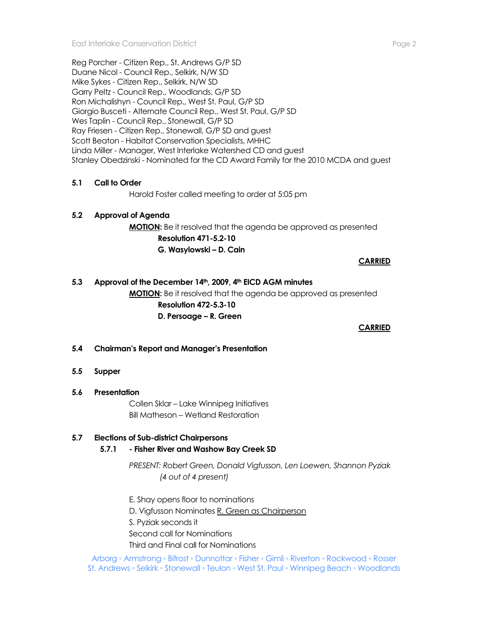Reg Porcher - Citizen Rep., St. Andrews G/P SD Duane Nicol - Council Rep., Selkirk, N/W SD Mike Sykes - Citizen Rep., Selkirk, N/W SD Garry Peltz - Council Rep., Woodlands, G/P SD Ron Michalishyn - Council Rep., West St. Paul, G/P SD Giorgio Busceti - Alternate Council Rep., West St. Paul, G/P SD Wes Taplin - Council Rep., Stonewall, G/P SD Ray Friesen - Citizen Rep., Stonewall, G/P SD and guest Scott Beaton - Habitat Conservation Specialists, MHHC Linda Miller - Manager, West Interlake Watershed CD and guest Stanley Obedzinski - Nominated for the CD Award Family for the 2010 MCDA and guest

# **5.1 Call to Order**

Harold Foster called meeting to order at 5:05 pm

#### **5.2 Approval of Agenda**

**MOTION:** Be it resolved that the agenda be approved as presented **Resolution 471-5.2-10 G. Wasylowski – D. Cain** 

**CARRIED**

#### **5.3 Approval of the December 14th, 2009, 4th EICD AGM minutes**

**MOTION:** Be it resolved that the agenda be approved as presented **Resolution 472-5.3-10 D. Persoage – R. Green**

**CARRIED** 

#### **5.4 Chairman's Report and Manager's Presentation**

#### **5.5 Supper**

#### **5.6 Presentation**

Collen Sklar – Lake Winnipeg Initiatives Bill Matheson – Wetland Restoration

# **5.7 Elections of Sub-district Chairpersons**

# **5.7.1 - Fisher River and Washow Bay Creek SD**

*PRESENT: Robert Green, Donald Vigfusson, Len Loewen, Shannon Pyziak (4 out of 4 present)*

E. Shay opens floor to nominations D. Vigfusson Nominates R. Green as Chairperson S. Pyziak seconds it Second call for Nominations Third and Final call for Nominations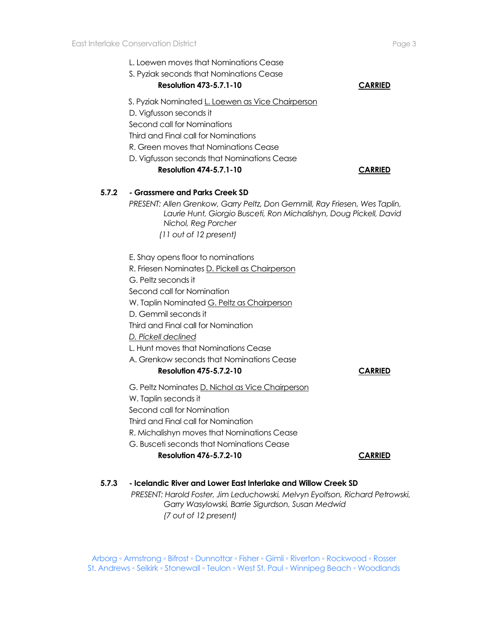L. Loewen moves that Nominations Cease S. Pyziak seconds that Nominations Cease **Resolution 473-5.7.1-10 CARRIED** S. Pyziak Nominated L. Loewen as Vice Chairperson D. Vigfusson seconds it Second call for Nominations Third and Final call for Nominations R. Green moves that Nominations Cease D. Vigfusson seconds that Nominations Cease **Resolution 474-5.7.1-10 CARRIED 5.7.2 - Grassmere and Parks Creek SD** *PRESENT: Allen Grenkow, Garry Peltz, Don Gemmill, Ray Friesen, Wes Taplin, Laurie Hunt, Giorgio Busceti, Ron Michalishyn, Doug Pickell, David Nichol, Reg Porcher (11 out of 12 present)* E. Shay opens floor to nominations R. Friesen Nominates D. Pickell as Chairperson G. Peltz seconds it Second call for Nomination W. Taplin Nominated G. Peltz as Chairperson D. Gemmil seconds it Third and Final call for Nomination *D. Pickell declined*  L. Hunt moves that Nominations Cease A. Grenkow seconds that Nominations Cease **Resolution 475-5.7.2-10 CARRIED** G. Peltz Nominates D. Nichol as Vice Chairperson W. Taplin seconds it Second call for Nomination Third and Final call for Nomination R. Michalishyn moves that Nominations Cease G. Busceti seconds that Nominations Cease **Resolution 476-5.7.2-10 CARRIED**

**5.7.3 - Icelandic River and Lower East Interlake and Willow Creek SD**

*PRESENT: Harold Foster, Jim Leduchowski, Melvyn Eyolfson, Richard Petrowski, Garry Wasylowski, Barrie Sigurdson, Susan Medwid (7 out of 12 present)*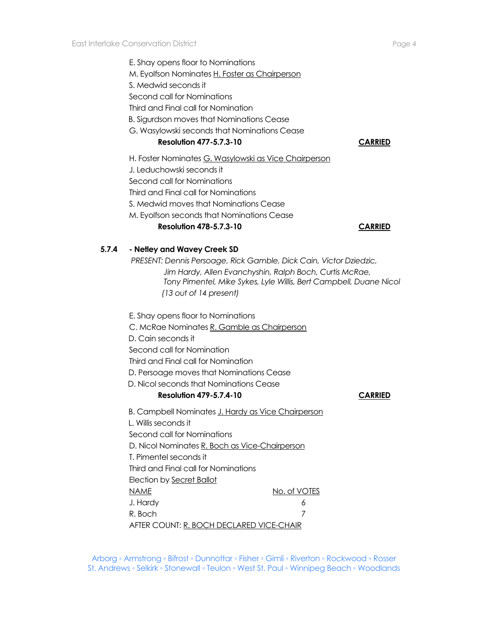E. Shay opens floor to Nominations M. Eyolfson Nominates H. Foster as Chairperson S. Medwid seconds it Second call for Nominations Third and Final call for Nomination B. Sigurdson moves that Nominations Cease G. Wasylowski seconds that Nominations Cease **Resolution 477-5.7.3-10 CARRIED**

H. Foster Nominates G. Wasylowski as Vice Chairperson J. Leduchowski seconds it Second call for Nominations Third and Final call for Nominations S. Medwid moves that Nominations Cease M. Eyolfson seconds that Nominations Cease **Resolution 478-5.7.3-10 CARRIED**

# **5.7.4 - Netley and Wavey Creek SD**

*PRESENT: Dennis Persoage, Rick Gamble, Dick Cain, Victor Dziedzic, Jim Hardy, Allen Evanchyshin, Ralph Boch, Curtis McRae, Tony Pimentel, Mike Sykes, Lyle Willis, Bert Campbell, Duane Nicol (13 out of 14 present)*

E. Shay opens floor to Nominations

C. McRae Nominates R. Gamble as Chairperson

D. Cain seconds it

Second call for Nomination

Third and Final call for Nomination

D. Persoage moves that Nominations Cease

D. Nicol seconds that Nominations Cease

### **Resolution 479-5.7.4-10 CARRIED**

B. Campbell Nominates J. Hardy as Vice Chairperson

 L. Willis seconds it Second call for Nominations D. Nicol Nominates R. Boch as Vice-Chairperson T. Pimentel seconds it Third and Final call for Nominations Election by Secret Ballot NAME NO. of VOTES J. Hardy 6 R. Boch 7

AFTER COUNT: R. BOCH DECLARED VICE-CHAIR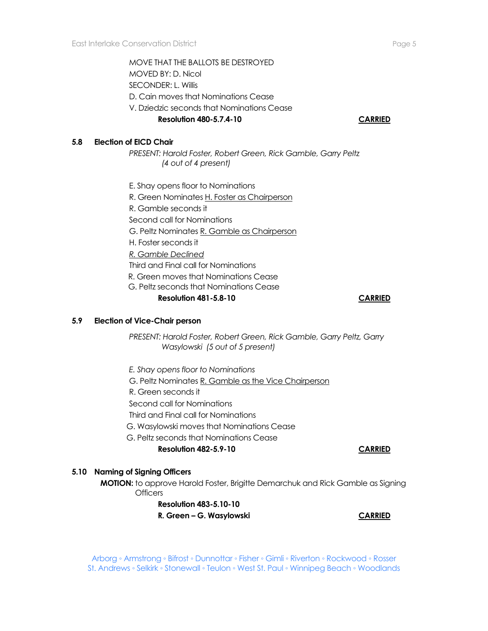MOVE THAT THE BALLOTS BE DESTROYED MOVED BY: D. Nicol SECONDER: L. Willis D. Cain moves that Nominations Cease V. Dziedzic seconds that Nominations Cease

### **Resolution 480-5.7.4-10 CARRIED**

**5.8 Election of EICD Chair** 

*PRESENT: Harold Foster, Robert Green, Rick Gamble, Garry Peltz (4 out of 4 present)*

E. Shay opens floor to Nominations R. Green Nominates H. Foster as Chairperson R. Gamble seconds it Second call for Nominations G. Peltz Nominates R. Gamble as Chairperson H. Foster seconds it *R. Gamble Declined* Third and Final call for Nominations R. Green moves that Nominations Cease G. Peltz seconds that Nominations Cease **Resolution 481-5.8-10 CARRIED**

#### **5.9 Election of Vice-Chair person**

*PRESENT: Harold Foster, Robert Green, Rick Gamble, Garry Peltz, Garry Wasylowski (5 out of 5 present)*

*E. Shay opens floor to Nominations*

G. Peltz Nominates R. Gamble as the Vice Chairperson

R. Green seconds it

Second call for Nominations

Third and Final call for Nominations

G. Wasylowski moves that Nominations Cease

G. Peltz seconds that Nominations Cease

**Resolution 482-5.9-10 CARRIED**

#### **5.10 Naming of Signing Officers**

**MOTION:** to approve Harold Foster, Brigitte Demarchuk and Rick Gamble as Signing **Officers** 

> **Resolution 483-5.10-10 R. Green – G. Wasylowski CARRIED**